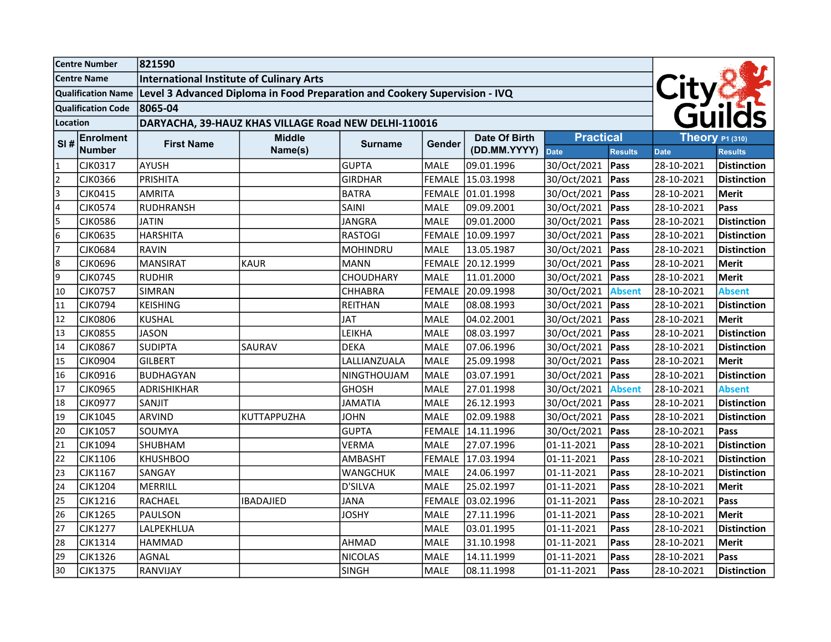| <b>Centre Number</b>      |                | 821590                                                                                        |                    |                 |                          |               |                  |                |                  |                    |
|---------------------------|----------------|-----------------------------------------------------------------------------------------------|--------------------|-----------------|--------------------------|---------------|------------------|----------------|------------------|--------------------|
| <b>Centre Name</b>        |                | <b>International Institute of Culinary Arts</b>                                               |                    |                 |                          |               |                  |                |                  |                    |
|                           |                | Qualification Name Level 3 Advanced Diploma in Food Preparation and Cookery Supervision - IVQ |                    |                 |                          |               |                  |                |                  |                    |
| <b>Qualification Code</b> |                | 8065-04                                                                                       |                    |                 |                          |               |                  |                |                  |                    |
| Location                  |                | DARYACHA, 39-HAUZ KHAS VILLAGE Road NEW DELHI-110016                                          |                    |                 |                          |               |                  |                | City&            |                    |
| <b>Enrolment</b><br>SI#   |                | <b>First Name</b>                                                                             | <b>Middle</b>      |                 |                          | Date Of Birth | <b>Practical</b> |                | Theory $P1(310)$ |                    |
|                           | <b>Number</b>  |                                                                                               | Name(s)            |                 | <b>Surname</b><br>Gender | (DD.MM.YYYY)  | Date             | <b>Results</b> | <b>Date</b>      | <b>Results</b>     |
| $\mathbf{1}$              | CJK0317        | AYUSH                                                                                         |                    | <b>GUPTA</b>    | <b>MALE</b>              | 09.01.1996    | 30/Oct/2021      | Pass           | 28-10-2021       | <b>Distinction</b> |
| $\overline{2}$            | <b>CJK0366</b> | PRISHITA                                                                                      |                    | <b>GIRDHAR</b>  | <b>FEMALE</b>            | 15.03.1998    | 30/Oct/2021      | Pass           | 28-10-2021       | <b>Distinction</b> |
| 3                         | CJK0415        | AMRITA                                                                                        |                    | <b>BATRA</b>    | <b>FEMALE</b>            | 01.01.1998    | 30/Oct/2021      | Pass           | 28-10-2021       | Merit              |
| 4                         | <b>CJK0574</b> | RUDHRANSH                                                                                     |                    | SAINI           | <b>MALE</b>              | 09.09.2001    | 30/Oct/2021      | Pass           | 28-10-2021       | Pass               |
| 5                         | <b>CJK0586</b> | <b>JATIN</b>                                                                                  |                    | <b>JANGRA</b>   | MALE                     | 09.01.2000    | 30/Oct/2021      | Pass           | 28-10-2021       | <b>Distinction</b> |
| 6                         | CJK0635        | <b>HARSHITA</b>                                                                               |                    | <b>RASTOGI</b>  | <b>FEMALE</b>            | 10.09.1997    | 30/Oct/2021      | Pass           | 28-10-2021       | <b>Distinction</b> |
| $\overline{7}$            | <b>CJK0684</b> | RAVIN                                                                                         |                    | <b>MOHINDRU</b> | <b>MALE</b>              | 13.05.1987    | 30/Oct/2021      | Pass           | 28-10-2021       | <b>Distinction</b> |
| 8                         | CJK0696        | MANSIRAT                                                                                      | <b>KAUR</b>        | <b>MANN</b>     | <b>FEMALE</b>            | 20.12.1999    | 30/Oct/2021      | Pass           | 28-10-2021       | Merit              |
| 9                         | <b>CJK0745</b> | RUDHIR                                                                                        |                    | CHOUDHARY       | <b>MALE</b>              | 11.01.2000    | 30/Oct/2021      | Pass           | 28-10-2021       | Merit              |
| 10                        | <b>CJK0757</b> | <b>SIMRAN</b>                                                                                 |                    | <b>CHHABRA</b>  | <b>FEMALE</b>            | 20.09.1998    | 30/Oct/2021      | <b>Absent</b>  | 28-10-2021       | <b>Absent</b>      |
| 11                        | CJK0794        | KEISHING                                                                                      |                    | <b>REITHAN</b>  | <b>MALE</b>              | 08.08.1993    | 30/Oct/2021      | Pass           | 28-10-2021       | <b>Distinction</b> |
| 12                        | <b>CJK0806</b> | <b>KUSHAL</b>                                                                                 |                    | <b>JAT</b>      | MALE                     | 04.02.2001    | 30/Oct/2021      | Pass           | 28-10-2021       | Merit              |
| 13                        | <b>CJK0855</b> | <b>JASON</b>                                                                                  |                    | LEIKHA          | <b>MALE</b>              | 08.03.1997    | 30/Oct/2021      | Pass           | 28-10-2021       | <b>Distinction</b> |
| 14                        | <b>CJK0867</b> | SUDIPTA                                                                                       | SAURAV             | <b>DEKA</b>     | <b>MALE</b>              | 07.06.1996    | 30/Oct/2021      | Pass           | 28-10-2021       | <b>Distinction</b> |
| 15                        | <b>CJK0904</b> | GILBERT                                                                                       |                    | LALLIANZUALA    | MALE                     | 25.09.1998    | 30/Oct/2021      | Pass           | 28-10-2021       | Merit              |
| 16                        | CJK0916        | BUDHAGYAN                                                                                     |                    | NINGTHOUJAM     | <b>MALE</b>              | 03.07.1991    | 30/Oct/2021      | Pass           | 28-10-2021       | <b>Distinction</b> |
| 17                        | <b>CJK0965</b> | ADRISHIKHAR                                                                                   |                    | <b>GHOSH</b>    | <b>MALE</b>              | 27.01.1998    | 30/Oct/2021      | <b>Absent</b>  | 28-10-2021       | <b>Absent</b>      |
| 18                        | <b>CJK0977</b> | <b>SANJIT</b>                                                                                 |                    | <b>JAMATIA</b>  | MALE                     | 26.12.1993    | 30/Oct/2021      | Pass           | 28-10-2021       | <b>Distinction</b> |
| 19                        | CJK1045        | ARVIND                                                                                        | <b>KUTTAPPUZHA</b> | <b>JOHN</b>     | <b>MALE</b>              | 02.09.1988    | 30/Oct/2021      | Pass           | 28-10-2021       | <b>Distinction</b> |
| 20                        | CJK1057        | SOUMYA                                                                                        |                    | <b>GUPTA</b>    | <b>FEMALE</b>            | 14.11.1996    | 30/Oct/2021      | Pass           | 28-10-2021       | Pass               |
| 21                        | CJK1094        | SHUBHAM                                                                                       |                    | <b>VERMA</b>    | <b>MALE</b>              | 27.07.1996    | 01-11-2021       | Pass           | 28-10-2021       | <b>Distinction</b> |
| 22                        | CJK1106        | KHUSHBOO                                                                                      |                    | <b>AMBASHT</b>  | <b>FEMALE</b>            | 17.03.1994    | 01-11-2021       | Pass           | 28-10-2021       | <b>Distinction</b> |
| 23                        | CJK1167        | SANGAY                                                                                        |                    | <b>WANGCHUK</b> | <b>MALE</b>              | 24.06.1997    | 01-11-2021       | Pass           | 28-10-2021       | <b>Distinction</b> |
| 24                        | <b>CJK1204</b> | MERRILL                                                                                       |                    | <b>D'SILVA</b>  | MALE                     | 25.02.1997    | 01-11-2021       | Pass           | 28-10-2021       | Merit              |
| 25                        | CJK1216        | RACHAEL                                                                                       | <b>IBADAJIED</b>   | <b>JANA</b>     | <b>FEMALE</b>            | 03.02.1996    | 01-11-2021       | Pass           | 28-10-2021       | Pass               |
| 26                        | <b>CJK1265</b> | PAULSON                                                                                       |                    | <b>JOSHY</b>    | <b>MALE</b>              | 27.11.1996    | 01-11-2021       | Pass           | 28-10-2021       | Merit              |
| 27                        | <b>CJK1277</b> | LALPEKHLUA                                                                                    |                    |                 | <b>MALE</b>              | 03.01.1995    | 01-11-2021       | Pass           | 28-10-2021       | <b>Distinction</b> |
| 28                        | <b>CJK1314</b> | HAMMAD                                                                                        |                    | AHMAD           | MALE                     | 31.10.1998    | 01-11-2021       | Pass           | 28-10-2021       | Merit              |
| 29                        | <b>CJK1326</b> | <b>AGNAL</b>                                                                                  |                    | <b>NICOLAS</b>  | <b>MALE</b>              | 14.11.1999    | 01-11-2021       | Pass           | 28-10-2021       | Pass               |
| 30                        | <b>CJK1375</b> | RANVIJAY                                                                                      |                    | <b>SINGH</b>    | MALE                     | 08.11.1998    | 01-11-2021       | Pass           | 28-10-2021       | <b>Distinction</b> |